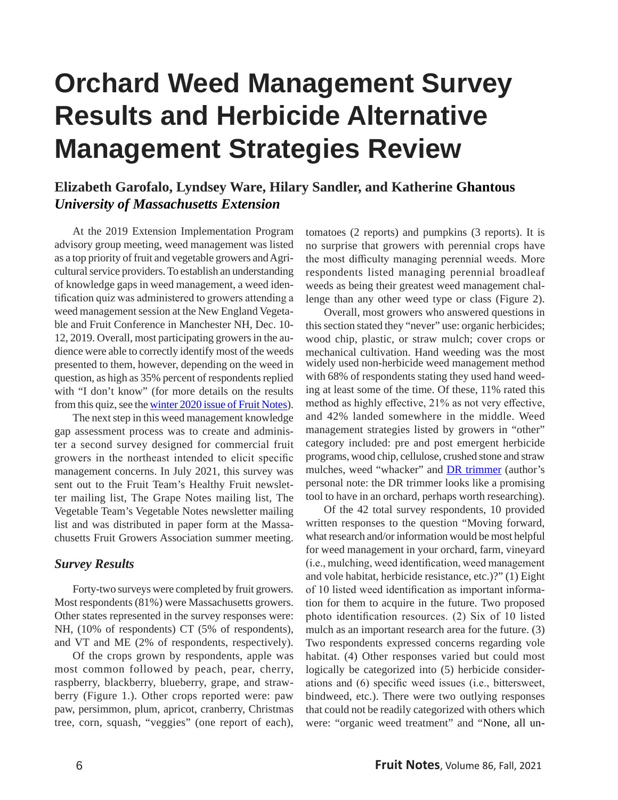# **Orchard Weed Management Survey Results and Herbicide Alternative Management Strategies Review**

# **Elizabeth Garofalo, Lyndsey Ware, Hilary Sandler, and Katherine Ghantous**  *University of Massachusetts Extension*

At the 2019 Extension Implementation Program advisory group meeting, weed management was listed as a top priority of fruit and vegetable growers and Agricultural service providers. To establish an understanding of knowledge gaps in weed management, a weed identification quiz was administered to growers attending a weed management session at the New England Vegetable and Fruit Conference in Manchester NH, Dec. 10- 12, 2019. Overall, most participating growers in the audience were able to correctly identify most of the weeds presented to them, however, depending on the weed in question, as high as 35% percent of respondents replied with "I don't know" (for more details on the results from this quiz, see the [winter 2020 issue of Fruit Notes\)](http://umassfruitnotes.com/v85n1/wxyzCover851.html).

The next step in this weed management knowledge gap assessment process was to create and administer a second survey designed for commercial fruit growers in the northeast intended to elicit specific management concerns. In July 2021, this survey was sent out to the Fruit Team's Healthy Fruit newsletter mailing list, The Grape Notes mailing list, The Vegetable Team's Vegetable Notes newsletter mailing list and was distributed in paper form at the Massachusetts Fruit Growers Association summer meeting.

# *Survey Results*

Forty-two surveys were completed by fruit growers. Most respondents (81%) were Massachusetts growers. Other states represented in the survey responses were: NH, (10% of respondents) CT (5% of respondents), and VT and ME (2% of respondents, respectively).

Of the crops grown by respondents, apple was most common followed by peach, pear, cherry, raspberry, blackberry, blueberry, grape, and strawberry (Figure 1.). Other crops reported were: paw paw, persimmon, plum, apricot, cranberry, Christmas tree, corn, squash, "veggies" (one report of each), tomatoes (2 reports) and pumpkins (3 reports). It is no surprise that growers with perennial crops have the most difficulty managing perennial weeds. More respondents listed managing perennial broadleaf weeds as being their greatest weed management challenge than any other weed type or class (Figure 2).

Overall, most growers who answered questions in this section stated they "never" use: organic herbicides; wood chip, plastic, or straw mulch; cover crops or mechanical cultivation. Hand weeding was the most widely used non-herbicide weed management method with 68% of respondents stating they used hand weeding at least some of the time. Of these, 11% rated this method as highly effective, 21% as not very effective, and 42% landed somewhere in the middle. Weed management strategies listed by growers in "other" category included: pre and post emergent herbicide programs, wood chip, cellulose, crushed stone and straw mulches, weed "whacker" and **DR** trimmer (author's personal note: the DR trimmer looks like a promising tool to have in an orchard, perhaps worth researching).

Of the 42 total survey respondents, 10 provided written responses to the question "Moving forward, what research and/or information would be most helpful for weed management in your orchard, farm, vineyard (i.e., mulching, weed identification, weed management and vole habitat, herbicide resistance, etc.)?" (1) Eight of 10 listed weed identification as important information for them to acquire in the future. Two proposed photo identification resources. (2) Six of 10 listed mulch as an important research area for the future. (3) Two respondents expressed concerns regarding vole habitat. (4) Other responses varied but could most logically be categorized into (5) herbicide considerations and (6) specific weed issues (i.e., bittersweet, bindweed, etc.). There were two outlying responses that could not be readily categorized with others which were: "organic weed treatment" and "None, all un-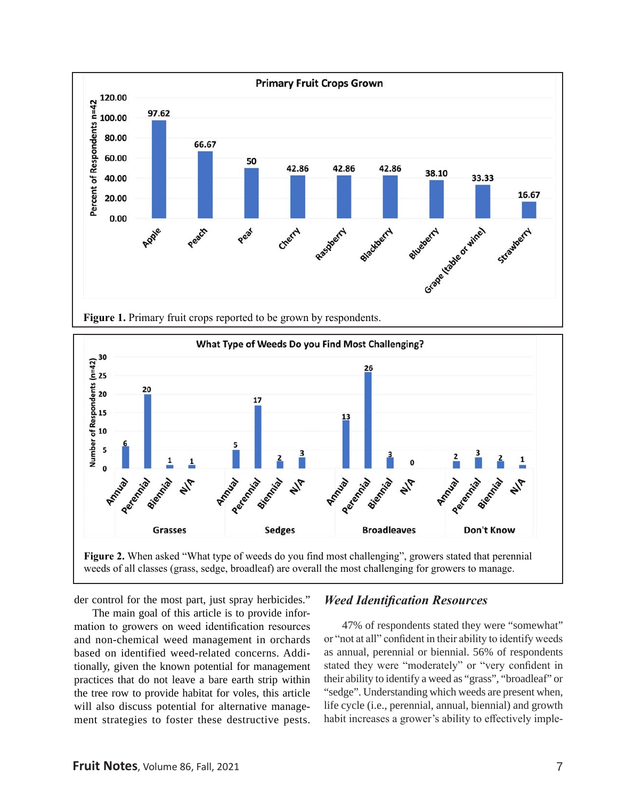



weeds of all classes (grass, sedge, broadleaf) are overall the most challenging for growers to manage.

der control for the most part, just spray herbicides."

The main goal of this article is to provide information to growers on weed identification resources and non-chemical weed management in orchards based on identified weed-related concerns. Additionally, given the known potential for management practices that do not leave a bare earth strip within the tree row to provide habitat for voles, this article will also discuss potential for alternative management strategies to foster these destructive pests.

# *Weed Identification Resources*

47% of respondents stated they were "somewhat" or "not at all" confident in their ability to identify weeds as annual, perennial or biennial. 56% of respondents stated they were "moderately" or "very confident in their ability to identify a weed as "grass", "broadleaf" or "sedge". Understanding which weeds are present when, life cycle (i.e., perennial, annual, biennial) and growth habit increases a grower's ability to effectively imple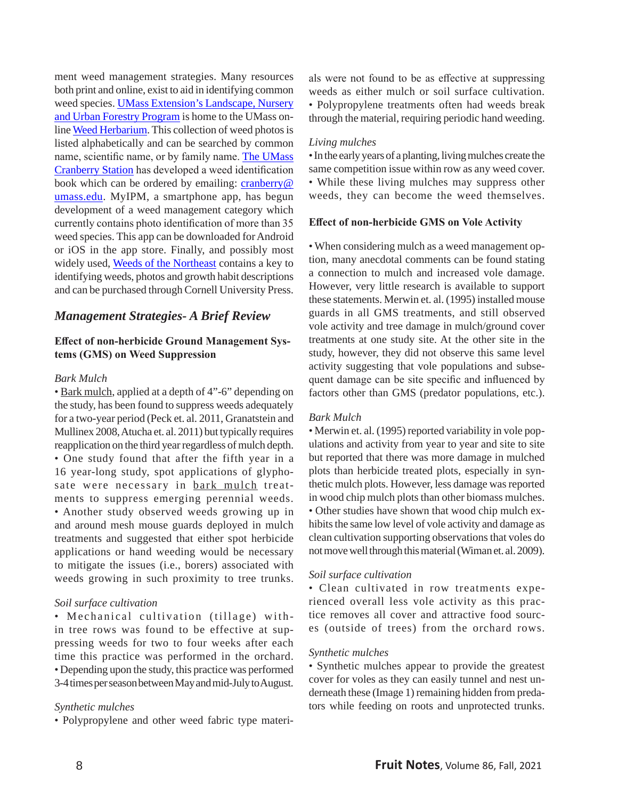ment weed management strategies. Many resources both print and online, exist to aid in identifying common weed species. [UMass Extension's Landscape, Nursery](https://ag.umass.edu/landscape)  [and Urban Forestry Program](https://ag.umass.edu/landscape) is home to the UMass online [Weed Herbarium.](https://extension.umass.edu/landscape/weed-herbarium) This collection of weed photos is listed alphabetically and can be searched by common name, scientific name, or by family name. [The UMass](https://ag.umass.edu/cranberry)  [Cranberry Station](https://ag.umass.edu/cranberry) has developed a weed identification book which can be ordered by emailing: [cranberry@](mailto:cranberry@umass.edu) [umass.edu](mailto:cranberry@umass.edu). MyIPM, a smartphone app, has begun development of a weed management category which currently contains photo identification of more than 35 weed species. This app can be downloaded for Android or iOS in the app store. Finally, and possibly most widely used, Weeds of the Northeast contains a key to identifying weeds, photos and growth habit descriptions and can be purchased through Cornell University Press.

# *Management Strategies- A Brief Review*

## **Effect of non-herbicide Ground Management Systems (GMS) on Weed Suppression**

#### *Bark Mulch*

• Bark mulch, applied at a depth of 4"-6" depending on the study, has been found to suppress weeds adequately for a two-year period (Peck et. al. 2011, Granatstein and Mullinex 2008, Atucha et. al. 2011) but typically requires reapplication on the third year regardless of mulch depth. • One study found that after the fifth year in a 16 year-long study, spot applications of glyphosate were necessary in bark mulch treatments to suppress emerging perennial weeds. • Another study observed weeds growing up in and around mesh mouse guards deployed in mulch treatments and suggested that either spot herbicide applications or hand weeding would be necessary to mitigate the issues (i.e., borers) associated with weeds growing in such proximity to tree trunks.

## *Soil surface cultivation*

• Mechanical cultivation (tillage) with in tree rows was found to be effective at suppressing weeds for two to four weeks after each time this practice was performed in the orchard. • Depending upon the study, this practice was performed 3-4 times per season between May and mid-July to August.

## *Synthetic mulches*

• Polypropylene and other weed fabric type materi-

als were not found to be as effective at suppressing weeds as either mulch or soil surface cultivation. • Polypropylene treatments often had weeds break through the material, requiring periodic hand weeding.

#### *Living mulches*

• In the early years of a planting, living mulches create the same competition issue within row as any weed cover. • While these living mulches may suppress other weeds, they can become the weed themselves.

#### **Effect of non-herbicide GMS on Vole Activity**

• When considering mulch as a weed management option, many anecdotal comments can be found stating a connection to mulch and increased vole damage. However, very little research is available to support these statements. Merwin et. al. (1995) installed mouse guards in all GMS treatments, and still observed vole activity and tree damage in mulch/ground cover treatments at one study site. At the other site in the study, however, they did not observe this same level activity suggesting that vole populations and subsequent damage can be site specific and influenced by factors other than GMS (predator populations, etc.).

#### *Bark Mulch*

• Merwin et. al. (1995) reported variability in vole populations and activity from year to year and site to site but reported that there was more damage in mulched plots than herbicide treated plots, especially in synthetic mulch plots. However, less damage was reported in wood chip mulch plots than other biomass mulches. • Other studies have shown that wood chip mulch exhibits the same low level of vole activity and damage as clean cultivation supporting observations that voles do not move well through this material (Wiman et. al. 2009).

## *Soil surface cultivation*

• Clean cultivated in row treatments experienced overall less vole activity as this practice removes all cover and attractive food sources (outside of trees) from the orchard rows.

#### *Synthetic mulches*

• Synthetic mulches appear to provide the greatest cover for voles as they can easily tunnel and nest underneath these (Image 1) remaining hidden from predators while feeding on roots and unprotected trunks.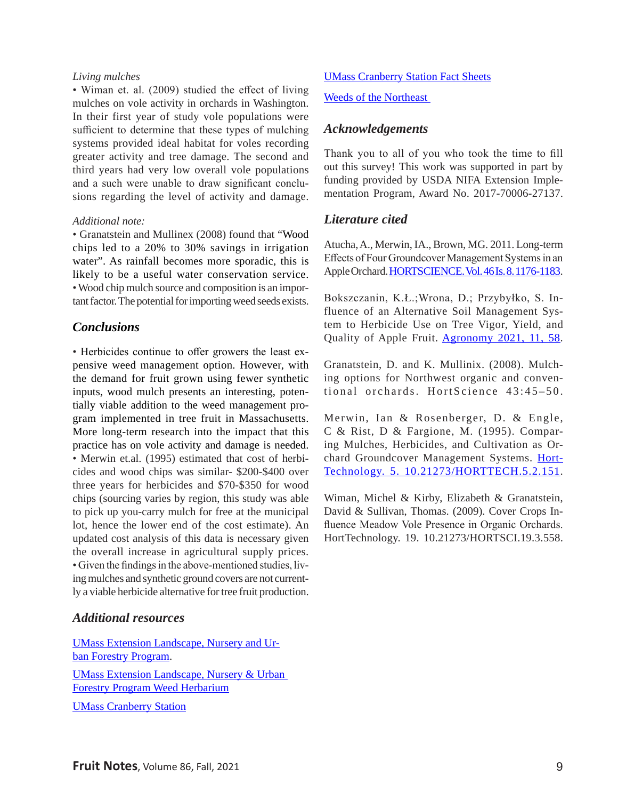#### *Living mulches*

• Wiman et. al. (2009) studied the effect of living mulches on vole activity in orchards in Washington. In their first year of study vole populations were sufficient to determine that these types of mulching systems provided ideal habitat for voles recording greater activity and tree damage. The second and third years had very low overall vole populations and a such were unable to draw significant conclusions regarding the level of activity and damage.

#### *Additional note:*

• Granatstein and Mullinex (2008) found that "Wood chips led to a 20% to 30% savings in irrigation water". As rainfall becomes more sporadic, this is likely to be a useful water conservation service. • Wood chip mulch source and composition is an important factor. The potential for importing weed seeds exists.

# *Conclusions*

• Herbicides continue to offer growers the least expensive weed management option. However, with the demand for fruit grown using fewer synthetic inputs, wood mulch presents an interesting, potentially viable addition to the weed management program implemented in tree fruit in Massachusetts. More long-term research into the impact that this practice has on vole activity and damage is needed. • Merwin et.al. (1995) estimated that cost of herbicides and wood chips was similar- \$200-\$400 over three years for herbicides and \$70-\$350 for wood chips (sourcing varies by region, this study was able to pick up you-carry mulch for free at the municipal lot, hence the lower end of the cost estimate). An updated cost analysis of this data is necessary given the overall increase in agricultural supply prices. • Given the findings in the above-mentioned studies, living mulches and synthetic ground covers are not currently a viable herbicide alternative for tree fruit production.

# *Additional resources*

UMass [Extension Landscape, Nursery and Ur](https://ag.umass.edu/landscape)ban [Forestry Program.](https://ag.umass.edu/landscape) [UMass Extension Landscape, Nursery & Urban](https://extension.umass.edu/landscape/weed-herbarium)  [Forestry Program Weed Herbarium](https://extension.umass.edu/landscape/weed-herbarium) [UMass Cranberry Station](https://ag.umass.edu/cranberry)

## [UMass Cranberry Station Fact Sheets](https://ag.umass.edu/cranberry/fact-sheets)

#### Weeds of the Northeast

# *Acknowledgements*

Thank you to all of you who took the time to fill out this survey! This work was supported in part by funding provided by USDA NIFA Extension Implementation Program, Award No. 2017-70006-27137.

## *Literature cited*

Atucha, A., Merwin, IA., Brown, MG. 2011. Long-term Effects of Four Groundcover Management Systems in an Apple Orchard. [HORTSCIENCE. Vol. 46 Is. 8. 1176-1183](https://doi.org/10.21273/HORTSCI.46.8.1176).

Bokszczanin, K.Ł.;Wrona, D.; Przybyłko, S. Influence of an Alternative Soil Management System to Herbicide Use on Tree Vigor, Yield, and Quality of Apple Fruit. [Agronomy 2021, 11, 58](https://doi.org/10.3390/agronomy11010058).

Granatstein, D. and K. Mullinix. (2008). Mulching options for Northwest organic and conventional orchards. HortScience 43:45–50.

Merwin, Ian & Rosenberger, D. & Engle, C & Rist, D & Fargione, M. (1995). Comparing Mulches, Herbicides, and Cultivation as Orchard Groundcover Management Systems. [Hort-](http://dx.doi.org/10.21273/HORTTECH.5.2.151)[Technology. 5. 10.21273/HORTTECH.5.2.151](http://dx.doi.org/10.21273/HORTTECH.5.2.151).

Wiman, Michel & Kirby, Elizabeth & Granatstein, David & Sullivan, Thomas. (2009). Cover Crops Influence Meadow Vole Presence in Organic Orchards. HortTechnology. 19. 10.21273/HORTSCI.19.3.558.